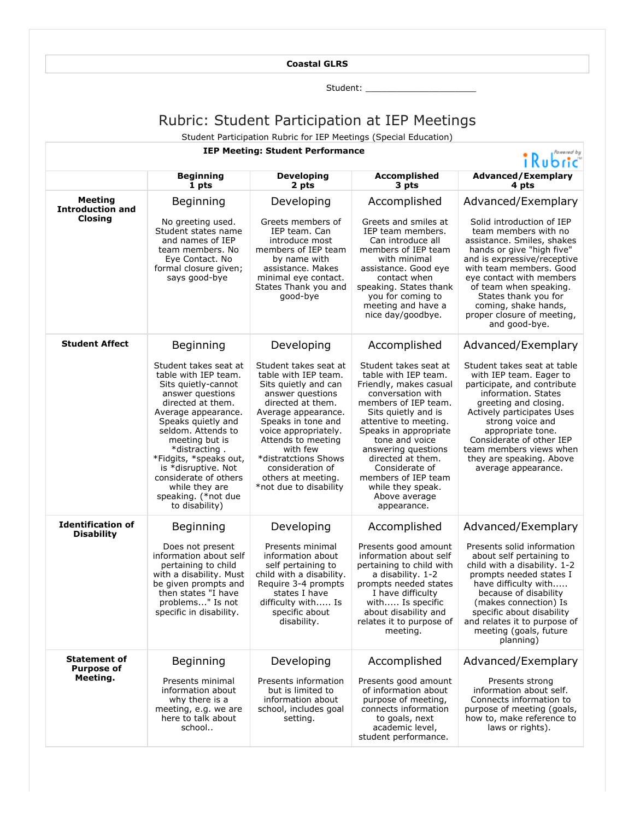## **Coastal GLRS**

Student: \_\_\_\_\_\_\_\_\_\_\_\_\_\_\_\_\_\_\_\_\_

## Rubric: Student Participation at IEP Meetings

Student Participation Rubric for IEP Meetings (Special Education)

## **IEP Meeting: Student Performance**

## $\mathbf{B}$   $\mathbf{D}$   $\mathbf{A}$

|                                                      | <b>INUOHC</b>                                                                                                                                                                                                                                                                                                                                            |                                                                                                                                                                                                                                                                                                                   |                                                                                                                                                                                                                                                                                                                                                           |                                                                                                                                                                                                                                                                                                                                                   |  |
|------------------------------------------------------|----------------------------------------------------------------------------------------------------------------------------------------------------------------------------------------------------------------------------------------------------------------------------------------------------------------------------------------------------------|-------------------------------------------------------------------------------------------------------------------------------------------------------------------------------------------------------------------------------------------------------------------------------------------------------------------|-----------------------------------------------------------------------------------------------------------------------------------------------------------------------------------------------------------------------------------------------------------------------------------------------------------------------------------------------------------|---------------------------------------------------------------------------------------------------------------------------------------------------------------------------------------------------------------------------------------------------------------------------------------------------------------------------------------------------|--|
|                                                      | <b>Beginning</b><br>1 pts                                                                                                                                                                                                                                                                                                                                | <b>Developing</b><br>2 pts                                                                                                                                                                                                                                                                                        | Accomplished<br>3 pts                                                                                                                                                                                                                                                                                                                                     | <b>Advanced/Exemplary</b><br>4 pts                                                                                                                                                                                                                                                                                                                |  |
| <b>Meeting</b><br><b>Introduction and</b><br>Closina | Beginning<br>No greeting used.<br>Student states name<br>and names of IEP<br>team members. No<br>Eye Contact. No<br>formal closure given;<br>says good-bye                                                                                                                                                                                               | Developing<br>Greets members of<br>IEP team. Can<br>introduce most<br>members of IEP team<br>by name with<br>assistance. Makes<br>minimal eye contact.<br>States Thank you and<br>good-bye                                                                                                                        | Accomplished<br>Greets and smiles at<br>IEP team members.<br>Can introduce all<br>members of IEP team<br>with minimal<br>assistance. Good eye<br>contact when<br>speaking. States thank<br>you for coming to<br>meeting and have a<br>nice day/goodbye.                                                                                                   | Advanced/Exemplary<br>Solid introduction of IEP<br>team members with no<br>assistance. Smiles, shakes<br>hands or give "high five"<br>and is expressive/receptive<br>with team members. Good<br>eye contact with members<br>of team when speaking.<br>States thank you for<br>coming, shake hands,<br>proper closure of meeting,<br>and good-bye. |  |
| <b>Student Affect</b>                                | Beginning                                                                                                                                                                                                                                                                                                                                                | Developing                                                                                                                                                                                                                                                                                                        | Accomplished                                                                                                                                                                                                                                                                                                                                              | Advanced/Exemplary                                                                                                                                                                                                                                                                                                                                |  |
|                                                      | Student takes seat at<br>table with IEP team.<br>Sits quietly-cannot<br>answer questions<br>directed at them.<br>Average appearance.<br>Speaks quietly and<br>seldom. Attends to<br>meeting but is<br>*distracting.<br>*Fidgits, *speaks out,<br>is *disruptive. Not<br>considerate of others<br>while they are<br>speaking. (*not due<br>to disability) | Student takes seat at<br>table with IEP team.<br>Sits quietly and can<br>answer questions<br>directed at them.<br>Average appearance.<br>Speaks in tone and<br>voice appropriately.<br>Attends to meeting<br>with few<br>*distratctions Shows<br>consideration of<br>others at meeting.<br>*not due to disability | Student takes seat at<br>table with IEP team.<br>Friendly, makes casual<br>conversation with<br>members of IEP team.<br>Sits quietly and is<br>attentive to meeting.<br>Speaks in appropriate<br>tone and voice<br>answering questions<br>directed at them.<br>Considerate of<br>members of IEP team<br>while they speak.<br>Above average<br>appearance. | Student takes seat at table<br>with IEP team. Eager to<br>participate, and contribute<br>information. States<br>greeting and closing.<br>Actively participates Uses<br>strong voice and<br>appropriate tone.<br>Considerate of other IEP<br>team members views when<br>they are speaking. Above<br>average appearance.                            |  |
| <b>Identification of</b><br><b>Disability</b>        | Beginning                                                                                                                                                                                                                                                                                                                                                | Developing                                                                                                                                                                                                                                                                                                        | Accomplished                                                                                                                                                                                                                                                                                                                                              | Advanced/Exemplary                                                                                                                                                                                                                                                                                                                                |  |
|                                                      | Does not present<br>information about self<br>pertaining to child<br>with a disability. Must<br>be given prompts and<br>then states "I have<br>problems" Is not<br>specific in disability.                                                                                                                                                               | Presents minimal<br>information about<br>self pertaining to<br>child with a disability.<br>Require 3-4 prompts<br>states I have<br>difficulty with Is<br>specific about<br>disability.                                                                                                                            | Presents good amount<br>information about self<br>pertaining to child with<br>a disability. 1-2<br>prompts needed states<br>I have difficulty<br>with Is specific<br>about disability and<br>relates it to purpose of<br>meeting.                                                                                                                         | Presents solid information<br>about self pertaining to<br>child with a disability. 1-2<br>prompts needed states I<br>have difficulty with<br>because of disability<br>(makes connection) Is<br>specific about disability<br>and relates it to purpose of<br>meeting (goals, future<br>planning)                                                   |  |
| <b>Statement of</b><br><b>Purpose of</b>             | Beginning                                                                                                                                                                                                                                                                                                                                                | Developing                                                                                                                                                                                                                                                                                                        | Accomplished                                                                                                                                                                                                                                                                                                                                              | Advanced/Exemplary                                                                                                                                                                                                                                                                                                                                |  |
| Meeting.                                             | Presents minimal<br>information about<br>why there is a<br>meeting, e.g. we are<br>here to talk about<br>school                                                                                                                                                                                                                                          | Presents information<br>but is limited to<br>information about<br>school, includes goal<br>setting.                                                                                                                                                                                                               | Presents good amount<br>of information about<br>purpose of meeting,<br>connects information<br>to goals, next<br>academic level,<br>student performance.                                                                                                                                                                                                  | Presents strong<br>information about self.<br>Connects information to<br>purpose of meeting (goals,<br>how to, make reference to<br>laws or rights).                                                                                                                                                                                              |  |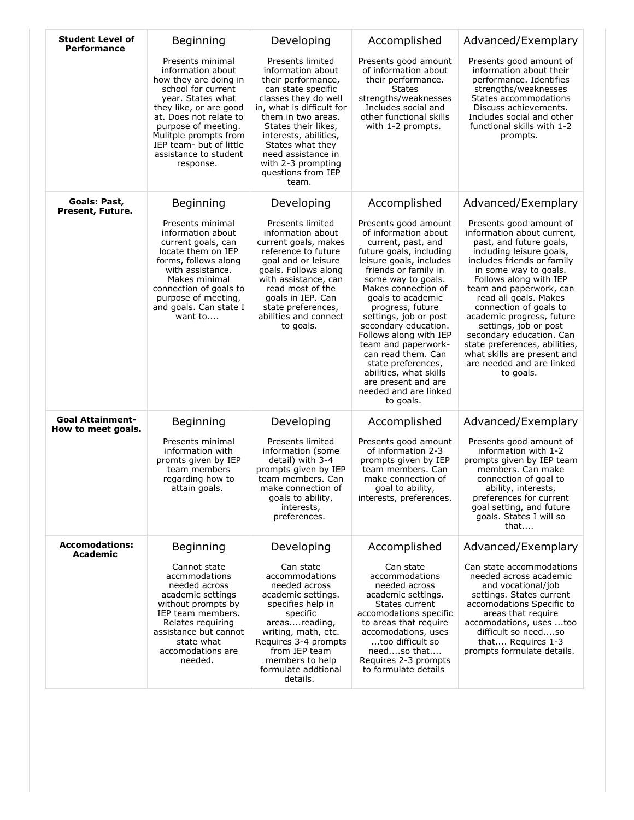| <b>Student Level of</b><br><b>Performance</b> | Beginning                                                                                                                                                                                                                                                                      | Developing                                                                                                                                                                                                                                                                                                  | Accomplished                                                                                                                                                                                                                                                                                                                                                                                                                                                                | Advanced/Exemplary                                                                                                                                                                                                                                                                                                                                                                                                                                                      |
|-----------------------------------------------|--------------------------------------------------------------------------------------------------------------------------------------------------------------------------------------------------------------------------------------------------------------------------------|-------------------------------------------------------------------------------------------------------------------------------------------------------------------------------------------------------------------------------------------------------------------------------------------------------------|-----------------------------------------------------------------------------------------------------------------------------------------------------------------------------------------------------------------------------------------------------------------------------------------------------------------------------------------------------------------------------------------------------------------------------------------------------------------------------|-------------------------------------------------------------------------------------------------------------------------------------------------------------------------------------------------------------------------------------------------------------------------------------------------------------------------------------------------------------------------------------------------------------------------------------------------------------------------|
|                                               | Presents minimal<br>information about<br>how they are doing in<br>school for current<br>year. States what<br>they like, or are good<br>at. Does not relate to<br>purpose of meeting.<br>Mulitple prompts from<br>IEP team- but of little<br>assistance to student<br>response. | Presents limited<br>information about<br>their performance,<br>can state specific<br>classes they do well<br>in, what is difficult for<br>them in two areas.<br>States their likes,<br>interests, abilities,<br>States what they<br>need assistance in<br>with 2-3 prompting<br>questions from IEP<br>team. | Presents good amount<br>of information about<br>their performance.<br><b>States</b><br>strengths/weaknesses<br>Includes social and<br>other functional skills<br>with 1-2 prompts.                                                                                                                                                                                                                                                                                          | Presents good amount of<br>information about their<br>performance. Identifies<br>strengths/weaknesses<br>States accommodations<br>Discuss achievements.<br>Includes social and other<br>functional skills with 1-2<br>prompts.                                                                                                                                                                                                                                          |
| Goals: Past,<br>Present, Future.              | Beginning                                                                                                                                                                                                                                                                      | Developing                                                                                                                                                                                                                                                                                                  | Accomplished                                                                                                                                                                                                                                                                                                                                                                                                                                                                | Advanced/Exemplary                                                                                                                                                                                                                                                                                                                                                                                                                                                      |
|                                               | Presents minimal<br>information about<br>current goals, can<br>locate them on IEP<br>forms, follows along<br>with assistance.<br>Makes minimal<br>connection of goals to<br>purpose of meeting,<br>and goals. Can state I<br>want to                                           | Presents limited<br>information about<br>current goals, makes<br>reference to future<br>goal and or leisure<br>goals. Follows along<br>with assistance, can<br>read most of the<br>goals in IEP. Can<br>state preferences,<br>abilities and connect<br>to goals.                                            | Presents good amount<br>of information about<br>current, past, and<br>future goals, including<br>leisure goals, includes<br>friends or family in<br>some way to goals.<br>Makes connection of<br>goals to academic<br>progress, future<br>settings, job or post<br>secondary education.<br>Follows along with IEP<br>team and paperwork-<br>can read them. Can<br>state preferences,<br>abilities, what skills<br>are present and are<br>needed and are linked<br>to goals. | Presents good amount of<br>information about current,<br>past, and future goals,<br>including leisure goals,<br>includes friends or family<br>in some way to goals.<br>Follows along with IEP<br>team and paperwork, can<br>read all goals. Makes<br>connection of goals to<br>academic progress, future<br>settings, job or post<br>secondary education. Can<br>state preferences, abilities,<br>what skills are present and<br>are needed and are linked<br>to goals. |
| <b>Goal Attainment-</b><br>How to meet goals. | Beginning                                                                                                                                                                                                                                                                      | Developing                                                                                                                                                                                                                                                                                                  | Accomplished                                                                                                                                                                                                                                                                                                                                                                                                                                                                | Advanced/Exemplary                                                                                                                                                                                                                                                                                                                                                                                                                                                      |
|                                               | Presents minimal<br>information with<br>promts given by IEP<br>team members<br>regarding how to<br>attain goals.                                                                                                                                                               | Presents limited<br>information (some<br>detail) with 3-4<br>prompts given by IEP<br>team members. Can<br>make connection of<br>goals to ability,<br>interests,<br>preferences.                                                                                                                             | Presents good amount<br>of information 2-3<br>prompts given by IEP<br>team members. Can<br>make connection of<br>goal to ability,<br>interests, preferences.                                                                                                                                                                                                                                                                                                                | Presents good amount of<br>information with 1-2<br>prompts given by IEP team<br>members. Can make<br>connection of goal to<br>ability, interests,<br>preferences for current<br>goal setting, and future<br>goals. States I will so<br>that                                                                                                                                                                                                                             |
| <b>Accomodations:</b><br>Academic             | Beginning                                                                                                                                                                                                                                                                      | Developing                                                                                                                                                                                                                                                                                                  | Accomplished                                                                                                                                                                                                                                                                                                                                                                                                                                                                | Advanced/Exemplary                                                                                                                                                                                                                                                                                                                                                                                                                                                      |
|                                               | Cannot state<br>accmmodations<br>needed across<br>academic settings<br>without prompts by<br>IEP team members.<br>Relates requiring<br>assistance but cannot<br>state what<br>accomodations are<br>needed.                                                                     | Can state<br>accommodations<br>needed across<br>academic settings.<br>specifies help in<br>specific<br>areasreading,<br>writing, math, etc.<br>Requires 3-4 prompts<br>from IEP team<br>members to help<br>formulate addtional<br>details.                                                                  | Can state<br>accommodations<br>needed across<br>academic settings.<br>States current<br>accomodations specific<br>to areas that require<br>accomodations, uses<br>too difficult so<br>needso that<br>Requires 2-3 prompts<br>to formulate details                                                                                                                                                                                                                           | Can state accommodations<br>needed across academic<br>and vocational/job<br>settings. States current<br>accomodations Specific to<br>areas that require<br>accomodations, uses too<br>difficult so needso<br>that Requires 1-3<br>prompts formulate details.                                                                                                                                                                                                            |